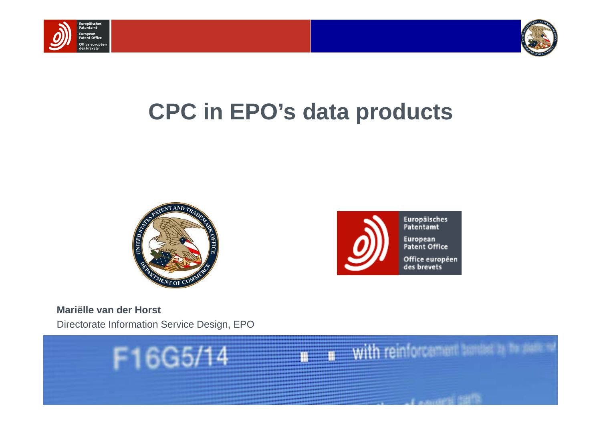



# **CPC in EPO's data products**





**Mariëlle van der Horst**Directorate Information Service Design, EPO

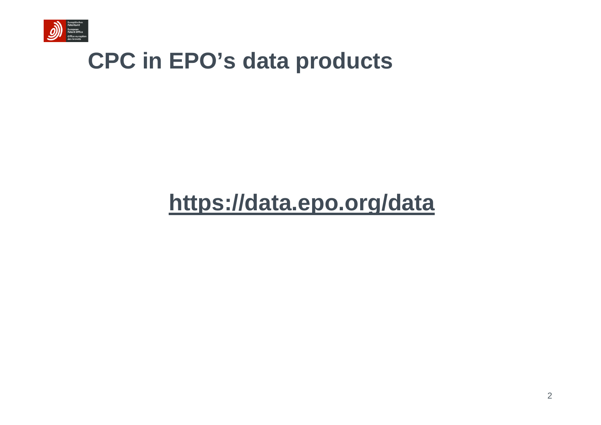

### **CPC in EPO's data products**

### **https://data.epo.org/data**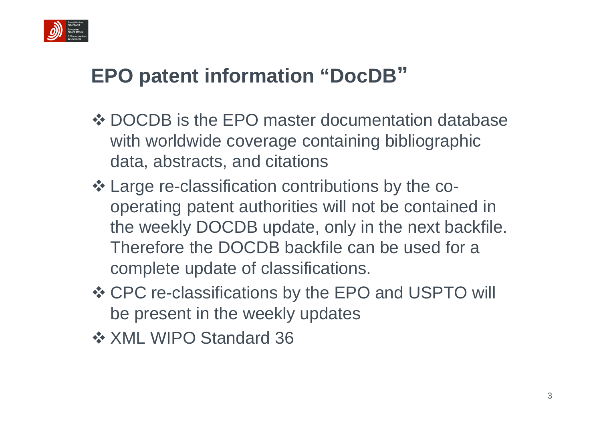

### **EPO patent information "DocDB "**

- **❖ DOCDB is the EPO master documentation database** with worldwide coverage containing bibliographic data, abstracts, and citations
- Large re-classification contributions by the cooperating patent authorities will not be contained in the weekly DOCDB update, only in the next backfile. Therefore the DOCDB backfile can be used for a complete update of classifications.
- CPC re-classifications by the EPO and USPTO will be present in the weekly updates
- **❖ XML WIPO Standard 36**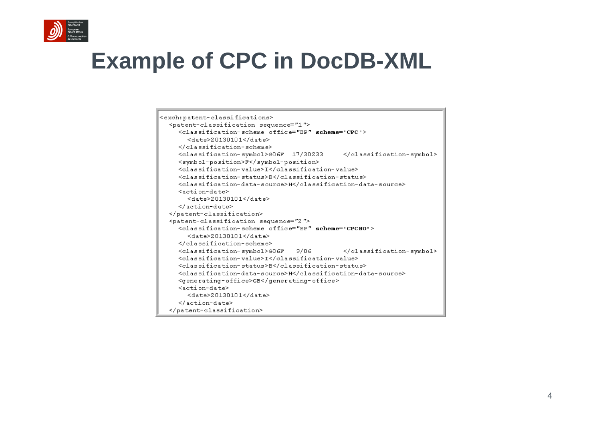

# **Example of CPC in DocDB-XML**

| <exch:patent-classifications></exch:patent-classifications>                |  |  |  |  |  |  |
|----------------------------------------------------------------------------|--|--|--|--|--|--|
| <patent-classification sequence="1"></patent-classification>               |  |  |  |  |  |  |
| <classification-scheme office="EP" scheme="CPC"></classification-scheme>   |  |  |  |  |  |  |
| $\langle date \rangle 20130101\langle date \rangle$                        |  |  |  |  |  |  |
|                                                                            |  |  |  |  |  |  |
| <classification-symbol>G06F 17/30233<br/></classification-symbol>          |  |  |  |  |  |  |
| <symbol-position>F</symbol-position>                                       |  |  |  |  |  |  |
| <classification-value>I</classification-value>                             |  |  |  |  |  |  |
| <classification-status>B</classification-status>                           |  |  |  |  |  |  |
| <classification-data-source>H</classification-data-source>                 |  |  |  |  |  |  |
| <action-date></action-date>                                                |  |  |  |  |  |  |
| $\langle datae \rangle 20130101 \langle data \rangle$                      |  |  |  |  |  |  |
|                                                                            |  |  |  |  |  |  |
|                                                                            |  |  |  |  |  |  |
| <patent-classification sequence="2"></patent-classification>               |  |  |  |  |  |  |
| <classification-scheme office="EP" scheme="CPCNO"></classification-scheme> |  |  |  |  |  |  |
| $\langle date \rangle 20130101 \langle date \rangle$                       |  |  |  |  |  |  |
|                                                                            |  |  |  |  |  |  |
| <classification-symbol>GO6F 9/06 </classification-symbol>                  |  |  |  |  |  |  |
| <classification-value>I</classification-value>                             |  |  |  |  |  |  |
| <classification-status>B</classification-status>                           |  |  |  |  |  |  |
| <classification-data-source>H</classification-data-source>                 |  |  |  |  |  |  |
| <generating-office>GB</generating-office>                                  |  |  |  |  |  |  |
| <action-date></action-date>                                                |  |  |  |  |  |  |
| $\langle date \rangle 20130101 \langle date \rangle$                       |  |  |  |  |  |  |
|                                                                            |  |  |  |  |  |  |
|                                                                            |  |  |  |  |  |  |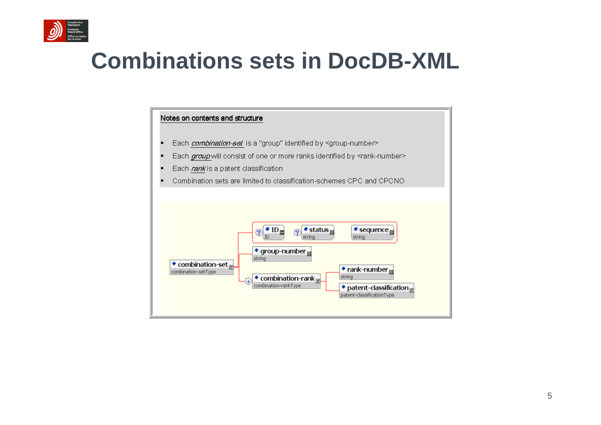

### **Combinations sets in DocDB-XML**

#### Notes on contents and structure

- Each *combination-set* is a "group" identified by <group-number>
- Each group will consist of one or more ranks identified by <rank-number>
- Each rank is a patent classification
- Combination sets are limited to classification-schemes CPC and CPCNO

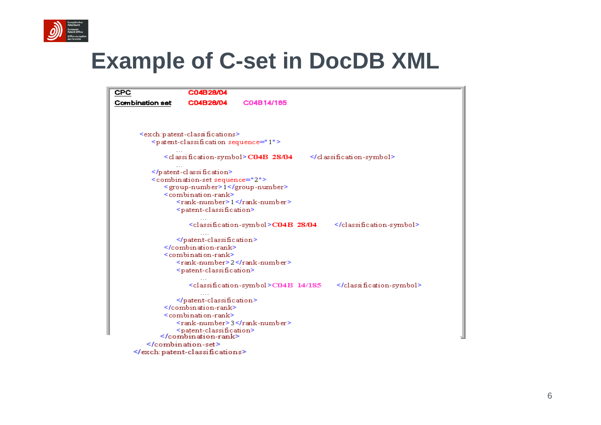

### **Example of C-set in DocDB XML**

| CPC                    | C04B28/04                                                    |                                                                  |                               |  |
|------------------------|--------------------------------------------------------------|------------------------------------------------------------------|-------------------------------|--|
| <b>Combination set</b> | C04B28/04                                                    | C04B14/185                                                       |                               |  |
|                        |                                                              |                                                                  |                               |  |
|                        |                                                              |                                                                  |                               |  |
|                        | <exch:patent-classifications></exch:patent-classifications>  |                                                                  |                               |  |
|                        | <patent-classification sequence="1"></patent-classification> |                                                                  |                               |  |
|                        |                                                              | <classification-symbol><b>C04B 28/04</b></classification-symbol> | $\le$ /classification-symbol> |  |
|                        |                                                              |                                                                  |                               |  |
|                        | <combination-set sequence="2"></combination-set>             |                                                                  |                               |  |
|                        | <group-number>1</group-number>                               |                                                                  |                               |  |
|                        | <combination-rank></combination-rank>                        |                                                                  |                               |  |
|                        |                                                              | <rank-number>1</rank-number>                                     |                               |  |
|                        | <patent-classification></patent-classification>              |                                                                  |                               |  |
|                        |                                                              | <classification-symbol>C04B 28/04</classification-symbol>        |                               |  |
|                        |                                                              |                                                                  |                               |  |
|                        |                                                              |                                                                  |                               |  |
|                        | <combination-rank></combination-rank>                        |                                                                  |                               |  |
|                        |                                                              | <rank-number>2</rank-number>                                     |                               |  |
|                        | <patent-classification></patent-classification>              |                                                                  |                               |  |
|                        |                                                              |                                                                  |                               |  |
|                        |                                                              | <classification-symbol>CO4B_14/185 =</classification-symbol>     |                               |  |
|                        |                                                              |                                                                  |                               |  |
|                        |                                                              |                                                                  |                               |  |
|                        | <combination-rank></combination-rank>                        |                                                                  |                               |  |
|                        |                                                              | <rank-number>3</rank-number>                                     |                               |  |
|                        | <patent-classification></patent-classification>              |                                                                  |                               |  |
|                        |                                                              |                                                                  |                               |  |
|                        |                                                              |                                                                  |                               |  |
|                        |                                                              |                                                                  |                               |  |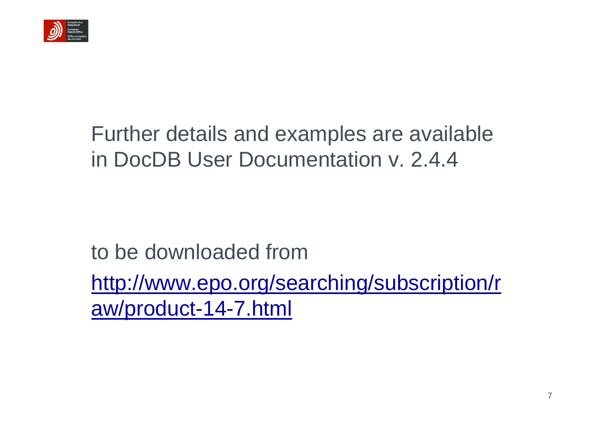

### Further details and examples are available in DocDB User Documentation v. 2.4.4

to be downloaded fromhttp://www.epo.org/searching/subscription/r aw/product-14-7.html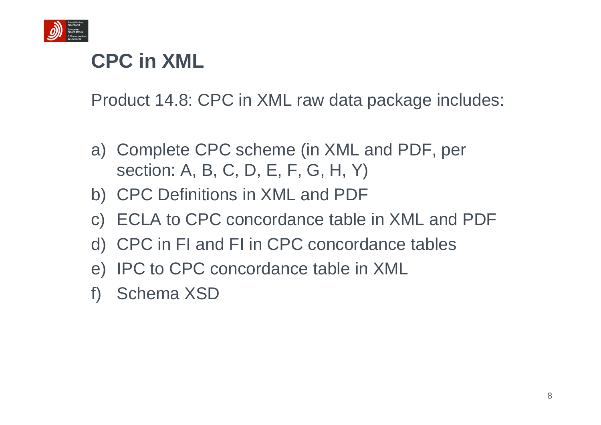

### **CPC in XML**

Product 14.8: CPC in XML raw data package includes:

- a) Complete CPC scheme (in XML and PDF, per section: A, B, C, D, E, F, G, H, Y)
- b) CPC Definitions in XML and PDF
- c) ECLA to CPC concordance table in XML and PDF
- d) CPC in FI and FI in CPC concordance tables
- e) IPC to CPC concordance table in XML
- f) Schema XSD